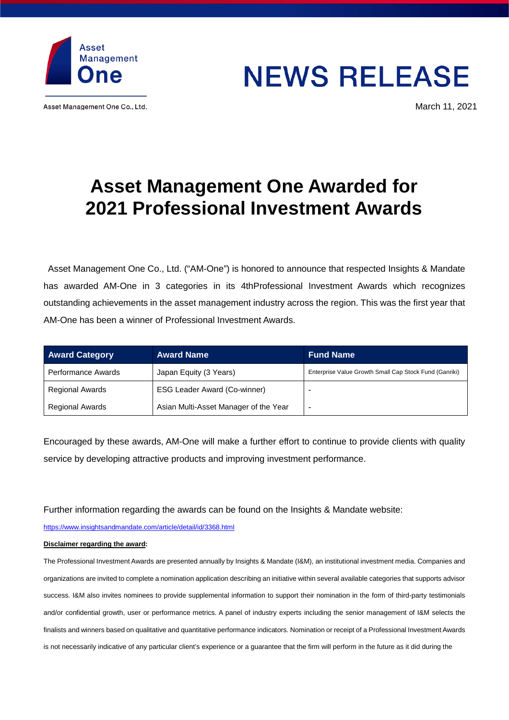

Asset Management One Co., Ltd.

## **NEWS RELEASE**

March 11, 2021

## **Asset Management One Awarded for 2021 Professional Investment Awards**

Asset Management One Co., Ltd. ("AM-One") is honored to announce that respected Insights & Mandate has awarded AM-One in 3 categories in its 4thProfessional Investment Awards which recognizes outstanding achievements in the asset management industry across the region. This was the first year that AM-One has been a winner of Professional Investment Awards.

| <b>Award Category</b>  | <b>Award Name</b>                     | <b>Fund Name</b>                                       |
|------------------------|---------------------------------------|--------------------------------------------------------|
| Performance Awards     | Japan Equity (3 Years)                | Enterprise Value Growth Small Cap Stock Fund (Ganriki) |
| <b>Regional Awards</b> | <b>ESG Leader Award (Co-winner)</b>   |                                                        |
| <b>Regional Awards</b> | Asian Multi-Asset Manager of the Year |                                                        |

Encouraged by these awards, AM-One will make a further effort to continue to provide clients with quality service by developing attractive products and improving investment performance.

Further information regarding the awards can be found on the Insights & Mandate website:

<https://www.insightsandmandate.com/article/detail/id/3368.html>

## **Disclaimer regarding the award:**

The Professional Investment Awards are presented annually by Insights & Mandate (I&M), an institutional investment media. Companies and organizations are invited to complete a nomination application describing an initiative within several available categories that supports advisor success. I&M also invites nominees to provide supplemental information to support their nomination in the form of third-party testimonials and/or confidential growth, user or performance metrics. A panel of industry experts including the senior management of I&M selects the finalists and winners based on qualitative and quantitative performance indicators. Nomination or receipt of a Professional Investment Awards is not necessarily indicative of any particular client's experience or a guarantee that the firm will perform in the future as it did during the